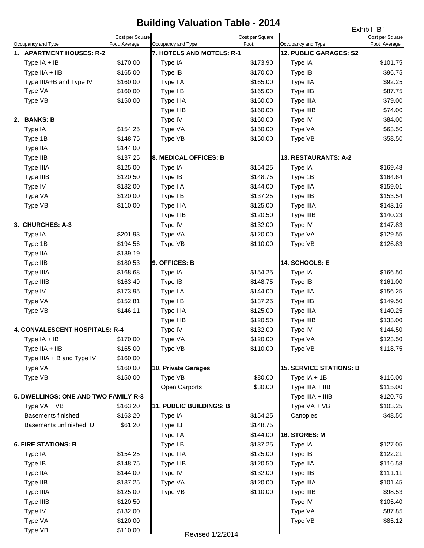## **Building Valuation Table - 2014**

|                                       |                                                                 |                 | panang                                          | <b>VAINALIVII TANIV</b> |                                              | Exhibit "B"     |
|---------------------------------------|-----------------------------------------------------------------|-----------------|-------------------------------------------------|-------------------------|----------------------------------------------|-----------------|
|                                       |                                                                 | Cost per Square |                                                 | Cost per Square         |                                              | Cost per Square |
|                                       | Occupancy and Type<br>Foot, Average<br>1. APARTMENT HOUSES: R-2 |                 | Occupancy and Type<br>7. HOTELS AND MOTELS: R-1 | Foot,                   | Occupancy and Type<br>12. PUBLIC GARAGES: S2 | Foot, Average   |
|                                       | Type IA + IB                                                    | \$170.00        | Type IA                                         | \$173.90                | Type IA                                      | \$101.75        |
|                                       | Type IIA + IIB                                                  | \$165.00        | Type iB                                         | \$170.00                | Type IB                                      | \$96.75         |
|                                       | Type IIIA+B and Type IV                                         | \$160.00        | Type IIA                                        | \$165.00                | Type IIA                                     | \$92.25         |
|                                       | Type VA                                                         | \$160.00        | Type IIB                                        | \$165.00                | Type IIB                                     | \$87.75         |
|                                       | Type VB                                                         | \$150.00        | Type IIIA                                       | \$160.00                | Type IIIA                                    | \$79.00         |
|                                       |                                                                 |                 | Type IIIB                                       | \$160.00                | Type IIIB                                    | \$74.00         |
|                                       | 2. BANKS: B                                                     |                 | Type IV                                         | \$160.00                | Type IV                                      | \$84.00         |
|                                       | Type IA                                                         | \$154.25        | Type VA                                         | \$150.00                | Type VA                                      | \$63.50         |
|                                       | Type 1B                                                         | \$148.75        | Type VB                                         | \$150.00                | Type VB                                      | \$58.50         |
|                                       | Type IIA                                                        | \$144.00        |                                                 |                         |                                              |                 |
|                                       | Type IIB                                                        | \$137.25        | 8. MEDICAL OFFICES: B                           |                         | 13. RESTAURANTS: A-2                         |                 |
|                                       | Type IIIA                                                       | \$125.00        | Type IA                                         | \$154.25                | Type IA                                      | \$169.48        |
|                                       | Type IIIB                                                       | \$120.50        | Type IB                                         | \$148.75                | Type 1B                                      | \$164.64        |
|                                       | Type IV                                                         | \$132.00        | Type IIA                                        | \$144.00                | Type IIA                                     | \$159.01        |
|                                       | Type VA                                                         | \$120.00        | Type IIB                                        | \$137.25                | Type IIB                                     | \$153.54        |
|                                       | Type VB                                                         | \$110.00        | Type IIIA                                       | \$125.00                | Type IIIA                                    | \$143.16        |
|                                       |                                                                 |                 | Type IIIB                                       | \$120.50                | Type IIIB                                    | \$140.23        |
|                                       | 3. CHURCHES: A-3                                                |                 | Type IV                                         | \$132.00                | Type IV                                      | \$147.83        |
|                                       | Type IA                                                         | \$201.93        | Type VA                                         | \$120.00                | Type VA                                      | \$129.55        |
|                                       | Type 1B                                                         | \$194.56        | Type VB                                         | \$110.00                | Type VB                                      | \$126.83        |
|                                       | Type IIA                                                        | \$189.19        |                                                 |                         |                                              |                 |
|                                       | Type IIB                                                        | \$180.53        | 9. OFFICES: B                                   |                         | 14. SCHOOLS: E                               |                 |
|                                       | Type IIIA                                                       | \$168.68        | Type IA                                         | \$154.25                | Type IA                                      | \$166.50        |
|                                       | Type IIIB                                                       | \$163.49        | Type IB                                         | \$148.75                | Type IB                                      | \$161.00        |
|                                       | Type IV                                                         | \$173.95        | Type IIA                                        | \$144.00                | Type IIA                                     | \$156.25        |
|                                       | Type VA                                                         | \$152.81        | Type IIB                                        | \$137.25                | Type IIB                                     | \$149.50        |
|                                       | Type VB                                                         | \$146.11        | Type IIIA                                       | \$125.00                | Type IIIA                                    | \$140.25        |
|                                       |                                                                 |                 | Type IIIB                                       | \$120.50                | Type IIIB                                    | \$133.00        |
| <b>4. CONVALESCENT HOSPITALS: R-4</b> |                                                                 | Type IV         | \$132.00                                        | Type IV                 | \$144.50                                     |                 |
|                                       | Type $IA + IB$                                                  | \$170.00        | Type VA                                         | \$120.00                | Type VA                                      | \$123.50        |
|                                       | Type IIA + IIB                                                  | \$165.00        | Type VB                                         | \$110.00                | Type VB                                      | \$118.75        |
|                                       | Type IIIA + B and Type IV                                       | \$160.00        |                                                 |                         |                                              |                 |
|                                       | Type VA                                                         | \$160.00        | 10. Private Garages                             |                         | <b>15. SERVICE STATIONS: B</b>               |                 |
|                                       | Type VB                                                         | \$150.00        | Type VB                                         | \$80.00                 | Type $IA + 1B$                               | \$116.00        |
|                                       |                                                                 |                 | Open Carports                                   | \$30.00                 | Type IIIA + IIB                              | \$115.00        |
| 5. DWELLINGS: ONE AND TWO FAMILY R-3  |                                                                 |                 |                                                 |                         | Type IIIA + IIIB                             | \$120.75        |
|                                       | Type VA + VB                                                    | \$163.20        | 11. PUBLIC BUILDINGS: B                         |                         | Type VA + VB                                 | \$103.25        |
|                                       | Basements finished                                              | \$163.20        | Type IA                                         | \$154.25                | Canopies                                     | \$48.50         |
|                                       | Basements unfinished: U                                         | \$61.20         | Type IB                                         | \$148.75                |                                              |                 |
|                                       |                                                                 |                 | Type IIA                                        | \$144.00                | 16. STORES: M                                |                 |
| <b>6. FIRE STATIONS: B</b>            |                                                                 |                 | Type IIB                                        | \$137.25                | Type IA                                      | \$127.05        |
|                                       | Type IA                                                         | \$154.25        | Type IIIA                                       | \$125.00                | Type IB                                      | \$122.21        |
|                                       | Type IB                                                         | \$148.75        | Type IIIB                                       | \$120.50                | Type IIA                                     | \$116.58        |
|                                       | Type IIA                                                        | \$144.00        | Type IV                                         | \$132.00                | Type IIB                                     | \$111.11        |
|                                       | Type IIB                                                        | \$137.25        | Type VA                                         | \$120.00                | Type IIIA                                    | \$101.45        |
|                                       | Type IIIA                                                       | \$125.00        | Type VB                                         | \$110.00                | Type IIIB                                    | \$98.53         |
|                                       | Type IIIB                                                       | \$120.50        |                                                 |                         | Type IV                                      | \$105.40        |
|                                       | Type IV                                                         | \$132.00        |                                                 |                         | Type VA                                      | \$87.85         |
|                                       | Type VA                                                         | \$120.00        |                                                 |                         | Type VB                                      | \$85.12         |
|                                       | Type VB                                                         | \$110.00        |                                                 |                         |                                              |                 |
|                                       |                                                                 |                 | Revised 1/2/2014                                |                         |                                              |                 |